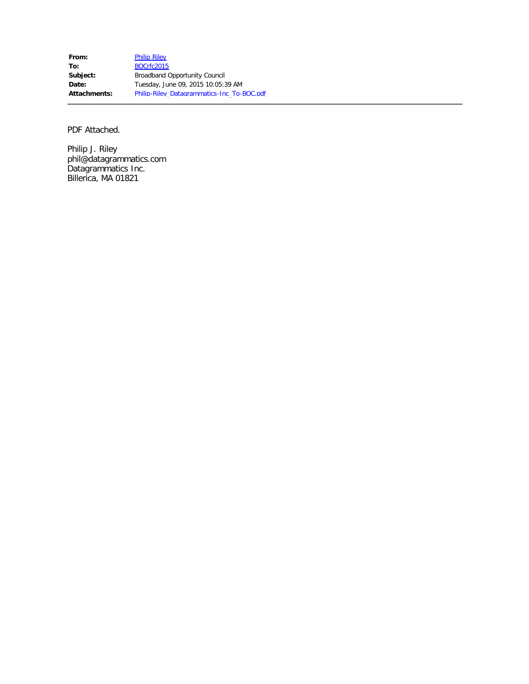From: [Philip Riley](mailto:phil@datagrammatics.com) **To:** [BOCrfc2015](mailto:BOCrfc2015@ntia.doc.gov) Subject: **Broadband Opportunity Council Date:** Tuesday, June 09, 2015 10:05:39 AM **Attachments:** Philip-Riley\_Datagrammatics-Inc\_To-BOC.pdf

PDF Attached.

Philip J. Riley phil@datagrammatics.com Datagrammatics Inc. Billerica, MA 01821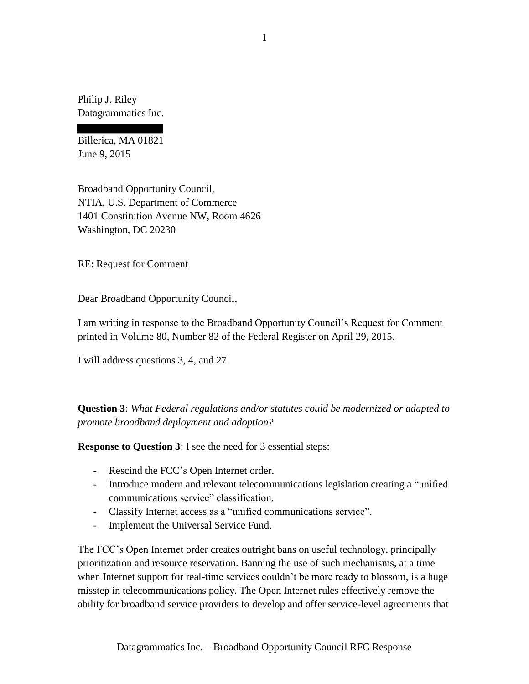Philip J. Riley Datagrammatics Inc.

Billerica, MA 01821 June 9, 2015

Broadband Opportunity Council, NTIA, U.S. Department of Commerce 1401 Constitution Avenue NW, Room 4626 Washington, DC 20230

RE: Request for Comment

Dear Broadband Opportunity Council,

I am writing in response to the Broadband Opportunity Council's Request for Comment printed in Volume 80, Number 82 of the Federal Register on April 29, 2015.

I will address questions 3, 4, and 27.

**Question 3**: *What Federal regulations and/or statutes could be modernized or adapted to promote broadband deployment and adoption?*

**Response to Question 3**: I see the need for 3 essential steps:

- Rescind the FCC's Open Internet order.
- Introduce modern and relevant telecommunications legislation creating a "unified communications service" classification.
- Classify Internet access as a "unified communications service".
- Implement the Universal Service Fund.

The FCC's Open Internet order creates outright bans on useful technology, principally prioritization and resource reservation. Banning the use of such mechanisms, at a time when Internet support for real-time services couldn't be more ready to blossom, is a huge misstep in telecommunications policy. The Open Internet rules effectively remove the ability for broadband service providers to develop and offer service-level agreements that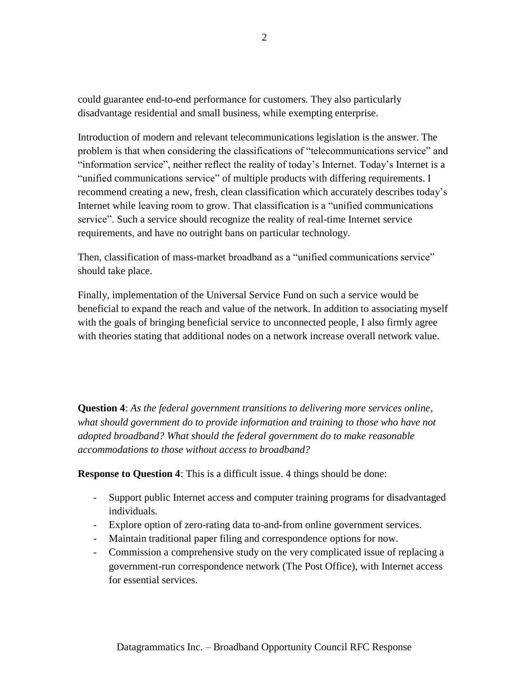could guarantee end-to-end performance for customers. They also particularly disadvantage residential and small business, while exempting enterprise.

Introduction of modern and relevant telecommunications legislation is the answer. The problem is that when considering the classifications of "telecommunications service" and "information service", neither reflect the reality of today's Internet. Today's Internet is a "unified communications service" of multiple products with differing requirements. I recommend creating a new, fresh, clean classification which accurately describes today's Internet while leaving room to grow. That classification is a "unified communications service". Such a service should recognize the reality of real-time Internet service requirements, and have no outright bans on particular technology.

Then, classification of mass-market broadband as a "unified communications service" should take place.

Finally, implementation of the Universal Service Fund on such a service would be beneficial to expand the reach and value of the network. In addition to associating myself with the goals of bringing beneficial service to unconnected people, I also firmly agree with theories stating that additional nodes on a network increase overall network value.

**Question 4**: *As the federal government transitions to delivering more services online,*  what should government do to provide information and training to those who have not *adopted broadband? What should the federal government do to make reasonable accommodations to those without access to broadband?*

**Response to Question 4**: This is a difficult issue. 4 things should be done:

- Support public Internet access and computer training programs for disadvantaged individuals.
- Explore option of zero-rating data to-and-from online government services.
- Maintain traditional paper filing and correspondence options for now.
- Commission a comprehensive study on the very complicated issue of replacing a government-run correspondence network (The Post Office), with Internet access for essential services.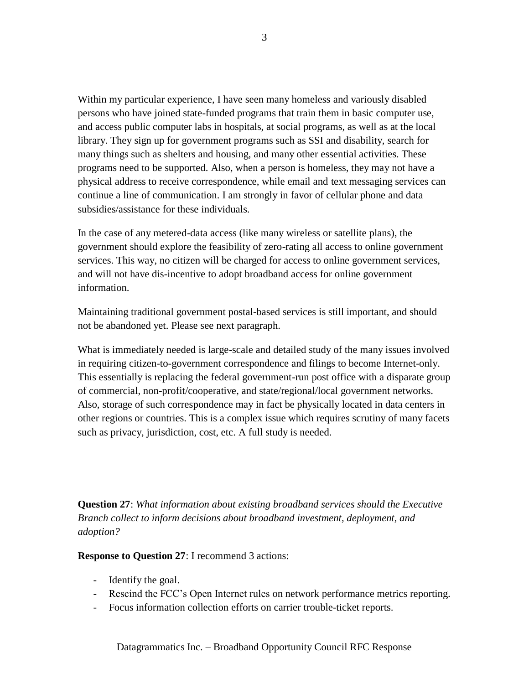Within my particular experience, I have seen many homeless and variously disabled persons who have joined state-funded programs that train them in basic computer use, and access public computer labs in hospitals, at social programs, as well as at the local library. They sign up for government programs such as SSI and disability, search for many things such as shelters and housing, and many other essential activities. These programs need to be supported. Also, when a person is homeless, they may not have a physical address to receive correspondence, while email and text messaging services can continue a line of communication. I am strongly in favor of cellular phone and data subsidies/assistance for these individuals.

In the case of any metered-data access (like many wireless or satellite plans), the government should explore the feasibility of zero-rating all access to online government services. This way, no citizen will be charged for access to online government services, and will not have dis-incentive to adopt broadband access for online government information.

Maintaining traditional government postal-based services is still important, and should not be abandoned yet. Please see next paragraph.

What is immediately needed is large-scale and detailed study of the many issues involved in requiring citizen-to-government correspondence and filings to become Internet-only. This essentially is replacing the federal government-run post office with a disparate group of commercial, non-profit/cooperative, and state/regional/local government networks. Also, storage of such correspondence may in fact be physically located in data centers in other regions or countries. This is a complex issue which requires scrutiny of many facets such as privacy, jurisdiction, cost, etc. A full study is needed.

**Question 27**: *What information about existing broadband services should the Executive Branch collect to inform decisions about broadband investment, deployment, and adoption?*

**Response to Question 27**: I recommend 3 actions:

- Identify the goal.
- Rescind the FCC's Open Internet rules on network performance metrics reporting.
- Focus information collection efforts on carrier trouble-ticket reports.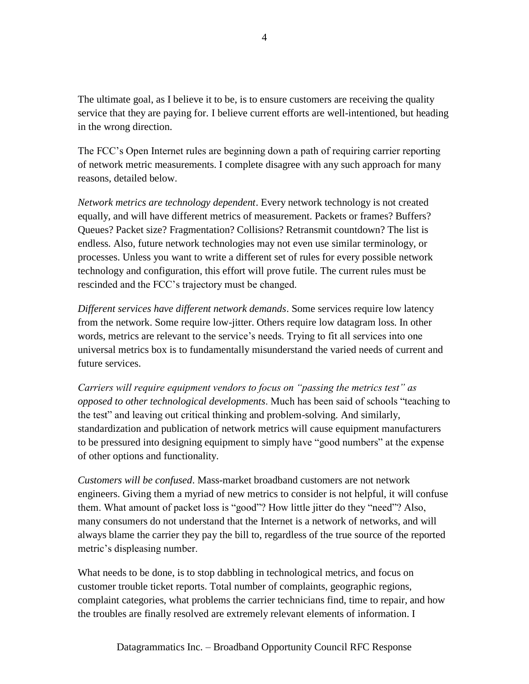The ultimate goal, as I believe it to be, is to ensure customers are receiving the quality service that they are paying for. I believe current efforts are well-intentioned, but heading in the wrong direction.

The FCC's Open Internet rules are beginning down a path of requiring carrier reporting of network metric measurements. I complete disagree with any such approach for many reasons, detailed below.

*Network metrics are technology dependent*. Every network technology is not created equally, and will have different metrics of measurement. Packets or frames? Buffers? Queues? Packet size? Fragmentation? Collisions? Retransmit countdown? The list is endless. Also, future network technologies may not even use similar terminology, or processes. Unless you want to write a different set of rules for every possible network technology and configuration, this effort will prove futile. The current rules must be rescinded and the FCC's trajectory must be changed.

*Different services have different network demands*. Some services require low latency from the network. Some require low-jitter. Others require low datagram loss. In other words, metrics are relevant to the service's needs. Trying to fit all services into one universal metrics box is to fundamentally misunderstand the varied needs of current and future services.

*Carriers will require equipment vendors to focus on "passing the metrics test" as opposed to other technological developments*. Much has been said of schools "teaching to the test" and leaving out critical thinking and problem-solving. And similarly, standardization and publication of network metrics will cause equipment manufacturers to be pressured into designing equipment to simply have "good numbers" at the expense of other options and functionality.

*Customers will be confused*. Mass-market broadband customers are not network engineers. Giving them a myriad of new metrics to consider is not helpful, it will confuse them. What amount of packet loss is "good"? How little jitter do they "need"? Also, many consumers do not understand that the Internet is a network of networks, and will always blame the carrier they pay the bill to, regardless of the true source of the reported metric's displeasing number.

What needs to be done, is to stop dabbling in technological metrics, and focus on customer trouble ticket reports. Total number of complaints, geographic regions, complaint categories, what problems the carrier technicians find, time to repair, and how the troubles are finally resolved are extremely relevant elements of information. I